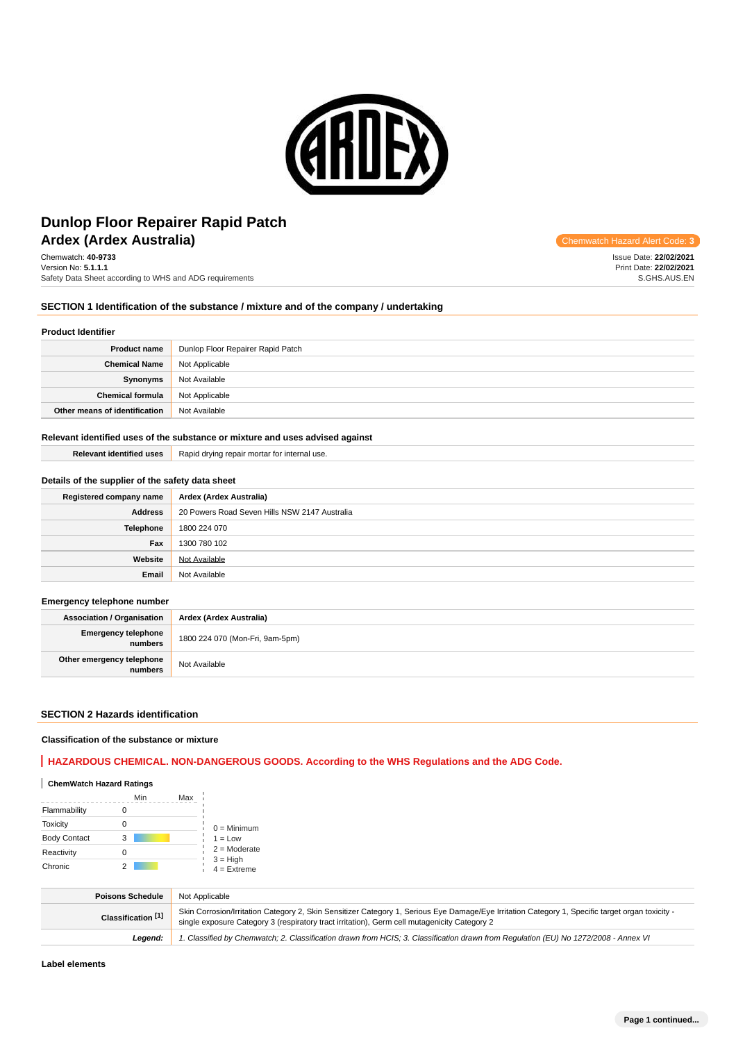

# **Ardex (Ardex Australia) Ardex Australia Code: 3 Chemwatch Hazard Alert Code: 3 Dunlop Floor Repairer Rapid Patch**

Chemwatch: **40-9733** Version No: **5.1.1.1** Safety Data Sheet according to WHS and ADG requirements

Issue Date: **22/02/2021** Print Date: **22/02/2021** S.GHS.AUS.EN

# **SECTION 1 Identification of the substance / mixture and of the company / undertaking**

#### **Product Identifier**

| <b>Product name</b>           | Dunlop Floor Repairer Rapid Patch |
|-------------------------------|-----------------------------------|
| <b>Chemical Name</b>          | Not Applicable                    |
| Synonyms                      | Not Available                     |
| <b>Chemical formula</b>       | Not Applicable                    |
| Other means of identification | Not Available                     |

#### **Relevant identified uses of the substance or mixture and uses advised against**

# **Details of the supplier of the safety data sheet**

| Registered company name | Ardex (Ardex Australia)                       |
|-------------------------|-----------------------------------------------|
| <b>Address</b>          | 20 Powers Road Seven Hills NSW 2147 Australia |
| Telephone               | 1800 224 070                                  |
| Fax                     | 1300 780 102                                  |
| Website                 | Not Available                                 |
| Email                   | Not Available                                 |

# **Emergency telephone number**

**Association / Organisation Ardex (Ardex Australia) Emergency telephone numbers** 1800 224 070 (Mon-Fri, 9am-5pm) **Other emergency telephone relephone**<br> **numbers** Not Available

#### **SECTION 2 Hazards identification**

#### **Classification of the substance or mixture**

# **HAZARDOUS CHEMICAL. NON-DANGEROUS GOODS. According to the WHS Regulations and the ADG Code.**

# **ChemWatch Hazard Ratings**

|                     | Min | Max |                             |
|---------------------|-----|-----|-----------------------------|
| Flammability        |     |     |                             |
| <b>Toxicity</b>     |     |     | $0 =$ Minimum               |
| <b>Body Contact</b> | 3   |     | $1 = Low$                   |
| Reactivity          | 0   |     | $2 =$ Moderate              |
| Chronic             |     |     | $3 = High$<br>$4 =$ Extreme |

| <b>Poisons Schedule</b> | Not Applicable                                                                                                                                                                                                                                   |
|-------------------------|--------------------------------------------------------------------------------------------------------------------------------------------------------------------------------------------------------------------------------------------------|
| Classification [1]      | Skin Corrosion/Irritation Category 2, Skin Sensitizer Category 1, Serious Eye Damage/Eye Irritation Category 1, Specific target organ toxicity -<br>single exposure Category 3 (respiratory tract irritation), Germ cell mutagenicity Category 2 |
| Leaend:                 | 1. Classified by Chemwatch; 2. Classification drawn from HCIS; 3. Classification drawn from Requlation (EU) No 1272/2008 - Annex VI                                                                                                              |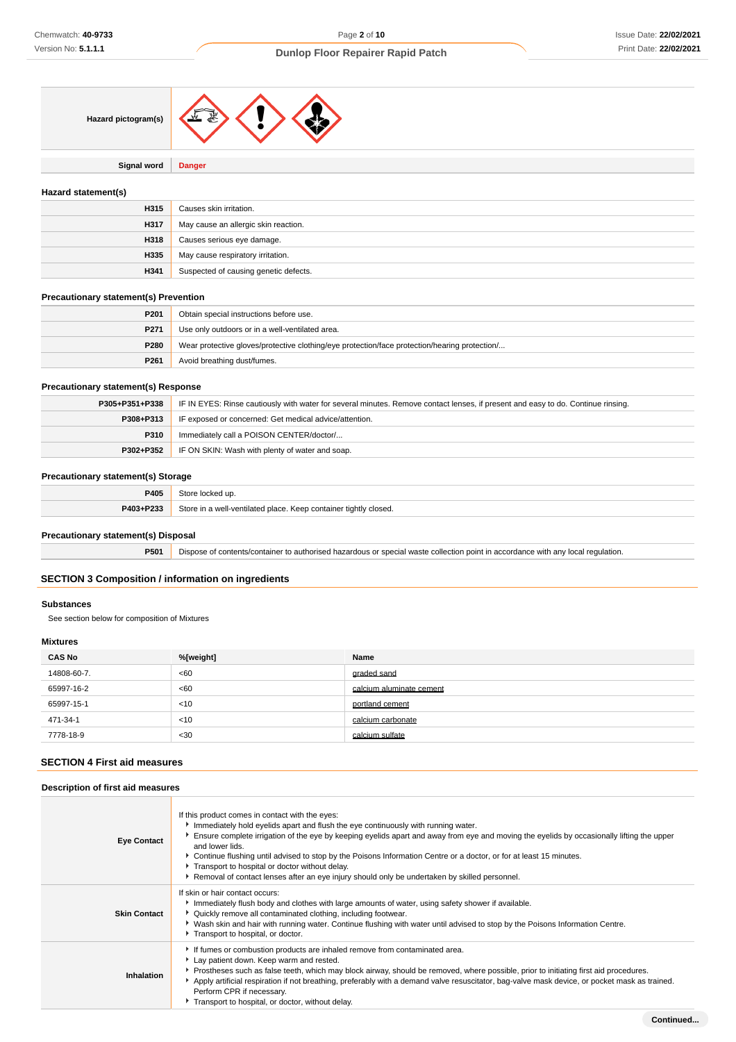

**Signal word Danger**

# **Hazard statement(s)**

| H315 | Causes skin irritation.               |
|------|---------------------------------------|
| H317 | May cause an allergic skin reaction.  |
| H318 | Causes serious eye damage.            |
| H335 | May cause respiratory irritation.     |
| H341 | Suspected of causing genetic defects. |

# **Precautionary statement(s) Prevention**

| P201 | Obtain special instructions before use.                                                       |
|------|-----------------------------------------------------------------------------------------------|
| P271 | Use only outdoors or in a well-ventilated area.                                               |
| P280 | Wear protective gloves/protective clothing/eye protection/face protection/hearing protection/ |
| P261 | Avoid breathing dust/fumes.                                                                   |

# **Precautionary statement(s) Response**

| P305+P351+P338 | IF IN EYES: Rinse cautiously with water for several minutes. Remove contact lenses, if present and easy to do. Continue rinsing. |  |
|----------------|----------------------------------------------------------------------------------------------------------------------------------|--|
| P308+P313      | IF exposed or concerned: Get medical advice/attention.                                                                           |  |
| <b>P310</b>    | Immediately call a POISON CENTER/doctor/                                                                                         |  |
|                | <b>P302+P352</b> IF ON SKIN: Wash with plenty of water and soap.                                                                 |  |

# **Precautionary statement(s) Storage**

| ______                         |                                                                             |
|--------------------------------|-----------------------------------------------------------------------------|
|                                |                                                                             |
| <b>DANS</b> . D <sub>222</sub> | $2$ tore<br>o container tightly closed.<br>analatah hatalitray.Ilaw<br>Keer |

# **Precautionary statement(s) Disposal**

**P501** Dispose of contents/container to authorised hazardous or special waste collection point in accordance with any local regulation.

# **SECTION 3 Composition / information on ingredients**

# **Substances**

See section below for composition of Mixtures

# **Mixtures**

| <b>CAS No</b> | %[weight] | Name                     |
|---------------|-----------|--------------------------|
| 14808-60-7.   | <60       | graded sand              |
| 65997-16-2    | <60       | calcium aluminate cement |
| 65997-15-1    | < 10      | portland cement          |
| 471-34-1      | < 10      | calcium carbonate        |
| 7778-18-9     | $30$      | calcium sulfate          |

# **SECTION 4 First aid measures**

# **Description of first aid measures**

| <b>Eye Contact</b>  | If this product comes in contact with the eyes:<br>Immediately hold eyelids apart and flush the eye continuously with running water.<br>Ensure complete irrigation of the eye by keeping eyelids apart and away from eye and moving the eyelids by occasionally lifting the upper<br>and lower lids.<br>▶ Continue flushing until advised to stop by the Poisons Information Centre or a doctor, or for at least 15 minutes.<br>Transport to hospital or doctor without delay.<br>Removal of contact lenses after an eye injury should only be undertaken by skilled personnel. |
|---------------------|---------------------------------------------------------------------------------------------------------------------------------------------------------------------------------------------------------------------------------------------------------------------------------------------------------------------------------------------------------------------------------------------------------------------------------------------------------------------------------------------------------------------------------------------------------------------------------|
| <b>Skin Contact</b> | If skin or hair contact occurs:<br>Immediately flush body and clothes with large amounts of water, using safety shower if available.<br>▶ Quickly remove all contaminated clothing, including footwear.<br>Vash skin and hair with running water. Continue flushing with water until advised to stop by the Poisons Information Centre.<br>Transport to hospital, or doctor.                                                                                                                                                                                                    |
| Inhalation          | If fumes or combustion products are inhaled remove from contaminated area.<br>Lay patient down. Keep warm and rested.<br>Prostheses such as false teeth, which may block airway, should be removed, where possible, prior to initiating first aid procedures.<br>Apply artificial respiration if not breathing, preferably with a demand valve resuscitator, bag-valve mask device, or pocket mask as trained.<br>Perform CPR if necessary.<br>Transport to hospital, or doctor, without delay.                                                                                 |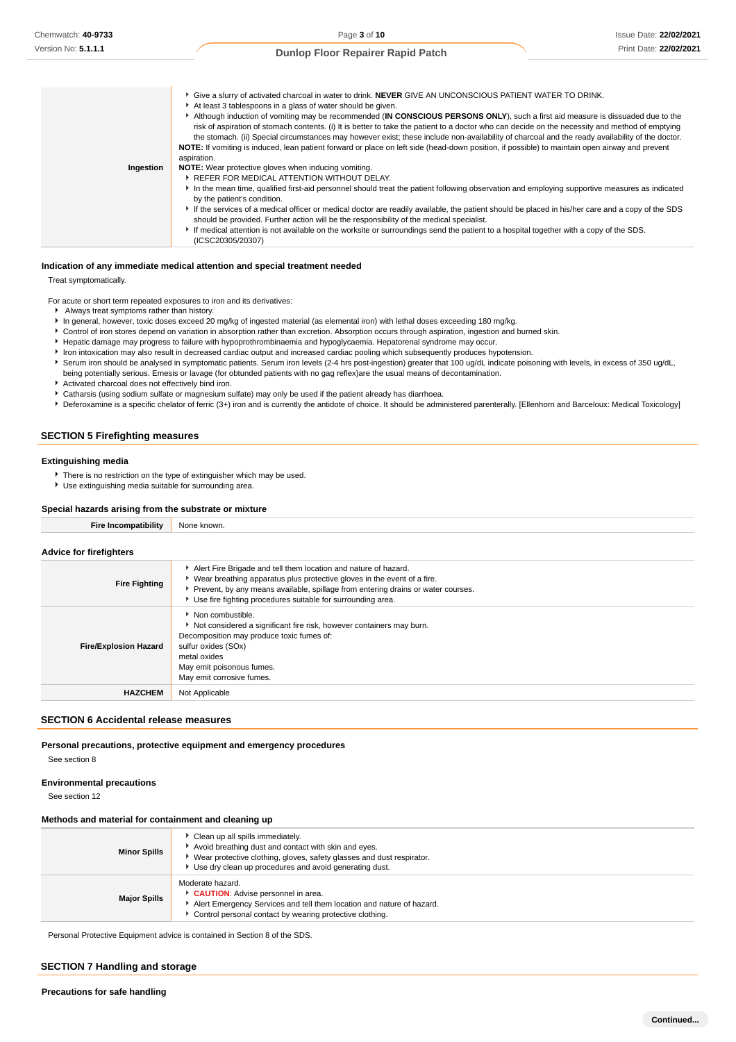|           | <sup>t</sup> Give a slurry of activated charcoal in water to drink. NEVER GIVE AN UNCONSCIOUS PATIENT WATER TO DRINK.<br>At least 3 tablespoons in a glass of water should be given.<br>Although induction of vomiting may be recommended (IN CONSCIOUS PERSONS ONLY), such a first aid measure is dissuaded due to the<br>risk of aspiration of stomach contents. (i) It is better to take the patient to a doctor who can decide on the necessity and method of emptying<br>the stomach. (ii) Special circumstances may however exist; these include non-availability of charcoal and the ready availability of the doctor.<br>NOTE: If vomiting is induced, lean patient forward or place on left side (head-down position, if possible) to maintain open airway and prevent |
|-----------|---------------------------------------------------------------------------------------------------------------------------------------------------------------------------------------------------------------------------------------------------------------------------------------------------------------------------------------------------------------------------------------------------------------------------------------------------------------------------------------------------------------------------------------------------------------------------------------------------------------------------------------------------------------------------------------------------------------------------------------------------------------------------------|
|           | aspiration.                                                                                                                                                                                                                                                                                                                                                                                                                                                                                                                                                                                                                                                                                                                                                                     |
| Ingestion | NOTE: Wear protective gloves when inducing vomiting.                                                                                                                                                                                                                                                                                                                                                                                                                                                                                                                                                                                                                                                                                                                            |
|           | ▶ REFER FOR MEDICAL ATTENTION WITHOUT DELAY.                                                                                                                                                                                                                                                                                                                                                                                                                                                                                                                                                                                                                                                                                                                                    |
|           | In the mean time, qualified first-aid personnel should treat the patient following observation and employing supportive measures as indicated<br>by the patient's condition.                                                                                                                                                                                                                                                                                                                                                                                                                                                                                                                                                                                                    |
|           | If the services of a medical officer or medical doctor are readily available, the patient should be placed in his/her care and a copy of the SDS<br>should be provided. Further action will be the responsibility of the medical specialist.                                                                                                                                                                                                                                                                                                                                                                                                                                                                                                                                    |
|           | If medical attention is not available on the worksite or surroundings send the patient to a hospital together with a copy of the SDS.<br>(ICSC20305/20307)                                                                                                                                                                                                                                                                                                                                                                                                                                                                                                                                                                                                                      |

#### **Indication of any immediate medical attention and special treatment needed**

Treat symptomatically.

For acute or short term repeated exposures to iron and its derivatives:

- Always treat symptoms rather than history.
- In general, however, toxic doses exceed 20 mg/kg of ingested material (as elemental iron) with lethal doses exceeding 180 mg/kg.
- Control of iron stores depend on variation in absorption rather than excretion. Absorption occurs through aspiration, ingestion and burned skin.
- Hepatic damage may progress to failure with hypoprothrombinaemia and hypoglycaemia. Hepatorenal syndrome may occur.
- Iron intoxication may also result in decreased cardiac output and increased cardiac pooling which subsequently produces hypotension.
- Serum iron should be analysed in symptomatic patients. Serum iron levels (2-4 hrs post-ingestion) greater that 100 ug/dL indicate poisoning with levels, in excess of 350 ug/dL, being potentially serious. Emesis or lavage (for obtunded patients with no gag reflex)are the usual means of decontamination.
- Activated charcoal does not effectively bind iron.
- Catharsis (using sodium sulfate or magnesium sulfate) may only be used if the patient already has diarrhoea.
- **P** Deferoxamine is a specific chelator of ferric (3+) iron and is currently the antidote of choice. It should be administered parenterally. [Ellenhorn and Barceloux: Medical Toxicology]

# **SECTION 5 Firefighting measures**

#### **Extinguishing media**

- **F** There is no restriction on the type of extinguisher which may be used.
- Use extinguishing media suitable for surrounding area.

#### **Special hazards arising from the substrate or mixture**

| <b>Fire Incompatibility</b>    | None known.                                                                                                                                                                                                                                                                                       |
|--------------------------------|---------------------------------------------------------------------------------------------------------------------------------------------------------------------------------------------------------------------------------------------------------------------------------------------------|
| <b>Advice for firefighters</b> |                                                                                                                                                                                                                                                                                                   |
| <b>Fire Fighting</b>           | Alert Fire Brigade and tell them location and nature of hazard.<br>▶ Wear breathing apparatus plus protective gloves in the event of a fire.<br>▶ Prevent, by any means available, spillage from entering drains or water courses.<br>Use fire fighting procedures suitable for surrounding area. |
| <b>Fire/Explosion Hazard</b>   | $\blacktriangleright$ Non combustible.<br>Not considered a significant fire risk, however containers may burn.<br>Decomposition may produce toxic fumes of:<br>sulfur oxides (SOx)<br>metal oxides<br>May emit poisonous fumes.<br>May emit corrosive fumes.                                      |
| <b>HAZCHEM</b>                 | Not Applicable                                                                                                                                                                                                                                                                                    |

#### **SECTION 6 Accidental release measures**

# **Personal precautions, protective equipment and emergency procedures**

See section 8

#### **Environmental precautions**

See section 12

# **Methods and material for containment and cleaning up**

| <b>Minor Spills</b> | Clean up all spills immediately.<br>Avoid breathing dust and contact with skin and eyes.<br>Wear protective clothing, gloves, safety glasses and dust respirator.<br>Use dry clean up procedures and avoid generating dust. |  |
|---------------------|-----------------------------------------------------------------------------------------------------------------------------------------------------------------------------------------------------------------------------|--|
| <b>Major Spills</b> | Moderate hazard.<br>CAUTION: Advise personnel in area.<br>Alert Emergency Services and tell them location and nature of hazard.<br>Control personal contact by wearing protective clothing.                                 |  |

Personal Protective Equipment advice is contained in Section 8 of the SDS.

# **SECTION 7 Handling and storage**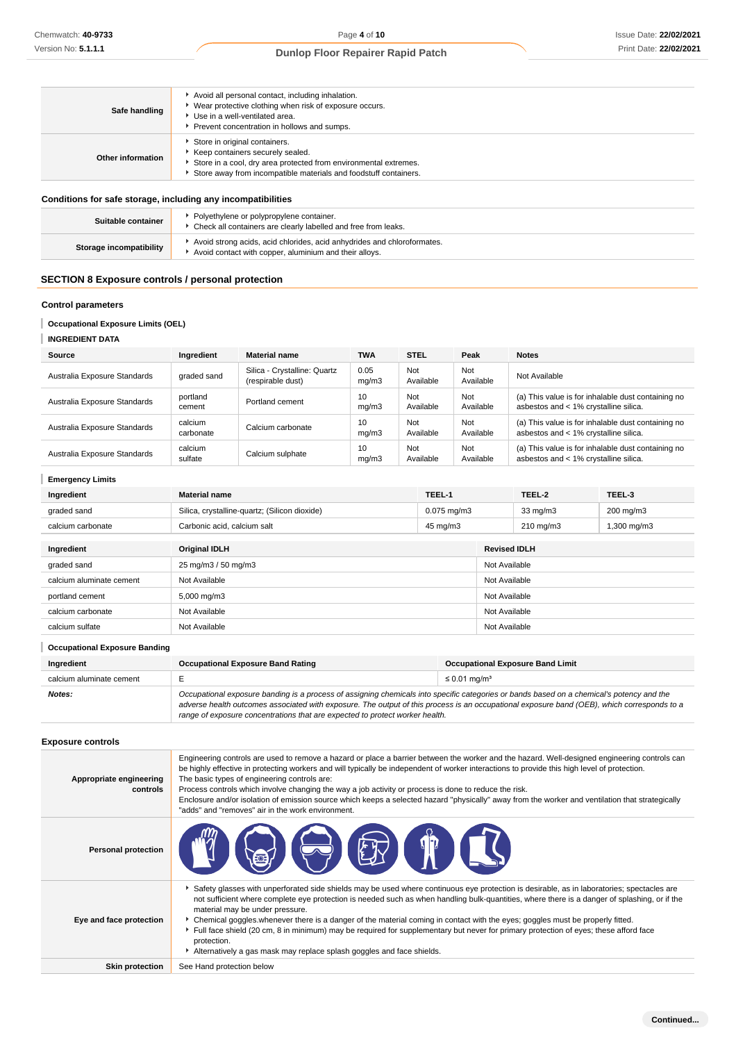| Safe handling     | Avoid all personal contact, including inhalation.<br>▶ Wear protective clothing when risk of exposure occurs.<br>▶ Use in a well-ventilated area.<br>Prevent concentration in hollows and sumps.            |
|-------------------|-------------------------------------------------------------------------------------------------------------------------------------------------------------------------------------------------------------|
| Other information | Store in original containers.<br>▶ Keep containers securely sealed.<br>Store in a cool, dry area protected from environmental extremes.<br>Store away from incompatible materials and foodstuff containers. |
|                   |                                                                                                                                                                                                             |

#### **Conditions for safe storage, including any incompatibilities**

| Suitable container             | Polyethylene or polypropylene container.<br>Check all containers are clearly labelled and free from leaks.                        |
|--------------------------------|-----------------------------------------------------------------------------------------------------------------------------------|
| <b>Storage incompatibility</b> | Avoid strong acids, acid chlorides, acid anhydrides and chloroformates.<br>Avoid contact with copper, aluminium and their alloys. |

# **SECTION 8 Exposure controls / personal protection**

# **Control parameters**

# **Occupational Exposure Limits (OEL)**

# **INGREDIENT DATA**

| Source                       | Ingredient           | <b>Material name</b>                              | <b>TWA</b>    | <b>STEL</b>      | Peak             | <b>Notes</b>                                                                                |
|------------------------------|----------------------|---------------------------------------------------|---------------|------------------|------------------|---------------------------------------------------------------------------------------------|
| Australia Exposure Standards | graded sand          | Silica - Crystalline: Quartz<br>(respirable dust) | 0.05<br>mq/m3 | Not<br>Available | Not<br>Available | Not Available                                                                               |
| Australia Exposure Standards | portland<br>cement   | Portland cement                                   | 10<br>ma/m3   | Not<br>Available | Not<br>Available | (a) This value is for inhalable dust containing no<br>asbestos and < 1% crystalline silica. |
| Australia Exposure Standards | calcium<br>carbonate | Calcium carbonate                                 | 10<br>mq/m3   | Not<br>Available | Not<br>Available | (a) This value is for inhalable dust containing no<br>asbestos and < 1% crystalline silica. |
| Australia Exposure Standards | calcium<br>sulfate   | Calcium sulphate                                  | 10<br>mq/m3   | Not<br>Available | Not<br>Available | (a) This value is for inhalable dust containing no<br>asbestos and < 1% crystalline silica. |

| <b>Emergency Limits</b>  |                                               |                  |                     |                    |             |
|--------------------------|-----------------------------------------------|------------------|---------------------|--------------------|-------------|
| Ingredient               | <b>Material name</b>                          | TEEL-1           |                     | TEEL-2             | TEEL-3      |
| graded sand              | Silica, crystalline-quartz; (Silicon dioxide) | $0.075$ mg/m $3$ |                     | $33 \text{ mg/m}$  | 200 mg/m3   |
| calcium carbonate        | Carbonic acid, calcium salt                   | 45 mg/m3         |                     | $210 \text{ mg/m}$ | 1,300 mg/m3 |
| Ingredient               | <b>Original IDLH</b>                          |                  | <b>Revised IDLH</b> |                    |             |
| graded sand              | 25 mg/m3 / 50 mg/m3                           |                  |                     | Not Available      |             |
| calcium aluminate cement | Not Available                                 |                  | Not Available       |                    |             |
| portland cement          | 5,000 mg/m3                                   |                  |                     | Not Available      |             |
| calcium carbonate        | Not Available                                 |                  |                     | Not Available      |             |
| calcium sulfate          | Not Available                                 |                  |                     | Not Available      |             |

| <b>Occupational Exposure Banding</b> |                                                                                                                                                                                                                                                                                                                                                                          |                                         |  |
|--------------------------------------|--------------------------------------------------------------------------------------------------------------------------------------------------------------------------------------------------------------------------------------------------------------------------------------------------------------------------------------------------------------------------|-----------------------------------------|--|
| Ingredient                           | <b>Occupational Exposure Band Rating</b>                                                                                                                                                                                                                                                                                                                                 | <b>Occupational Exposure Band Limit</b> |  |
| calcium aluminate cement             |                                                                                                                                                                                                                                                                                                                                                                          | $\leq$ 0.01 mg/m <sup>3</sup>           |  |
| Notes:                               | Occupational exposure banding is a process of assigning chemicals into specific categories or bands based on a chemical's potency and the<br>adverse health outcomes associated with exposure. The output of this process is an occupational exposure band (OEB), which corresponds to a<br>range of exposure concentrations that are expected to protect worker health. |                                         |  |

# **Exposure controls**

| Appropriate engineering<br>controls | Engineering controls are used to remove a hazard or place a barrier between the worker and the hazard. Well-designed engineering controls can<br>be highly effective in protecting workers and will typically be independent of worker interactions to provide this high level of protection.<br>The basic types of engineering controls are:<br>Process controls which involve changing the way a job activity or process is done to reduce the risk.<br>Enclosure and/or isolation of emission source which keeps a selected hazard "physically" away from the worker and ventilation that strategically<br>"adds" and "removes" air in the work environment.                                   |
|-------------------------------------|---------------------------------------------------------------------------------------------------------------------------------------------------------------------------------------------------------------------------------------------------------------------------------------------------------------------------------------------------------------------------------------------------------------------------------------------------------------------------------------------------------------------------------------------------------------------------------------------------------------------------------------------------------------------------------------------------|
| <b>Personal protection</b>          | <b>EXTERNATION</b><br>$\left[\begin{matrix} \begin{matrix} E & \end{matrix} \end{matrix} \right]$                                                                                                                                                                                                                                                                                                                                                                                                                                                                                                                                                                                                 |
| Eye and face protection             | Safety glasses with unperforated side shields may be used where continuous eye protection is desirable, as in laboratories; spectacles are<br>not sufficient where complete eye protection is needed such as when handling bulk-quantities, where there is a danger of splashing, or if the<br>material may be under pressure.<br>► Chemical goggles whenever there is a danger of the material coming in contact with the eyes; goggles must be properly fitted.<br>Full face shield (20 cm, 8 in minimum) may be required for supplementary but never for primary protection of eyes; these afford face<br>protection.<br>Alternatively a gas mask may replace splash goggles and face shields. |
| <b>Skin protection</b>              | See Hand protection below                                                                                                                                                                                                                                                                                                                                                                                                                                                                                                                                                                                                                                                                         |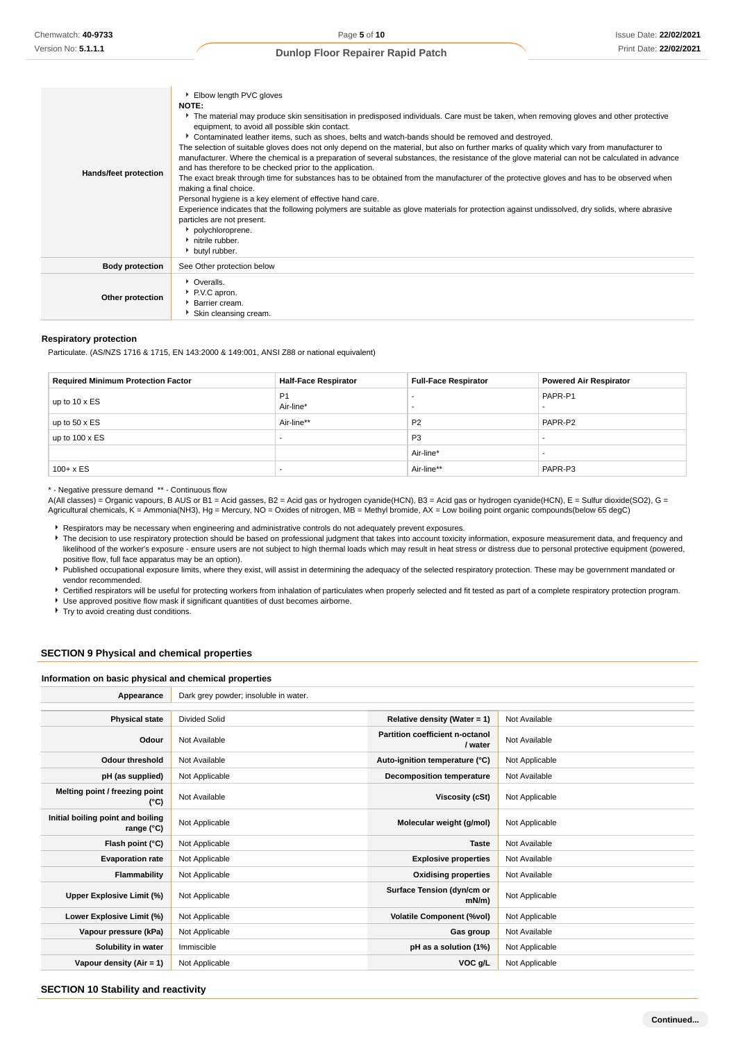| Hands/feet protection  | Elbow length PVC gloves<br><b>NOTE:</b><br>The material may produce skin sensitisation in predisposed individuals. Care must be taken, when removing gloves and other protective<br>equipment, to avoid all possible skin contact.<br>Contaminated leather items, such as shoes, belts and watch-bands should be removed and destroyed.<br>The selection of suitable gloves does not only depend on the material, but also on further marks of quality which vary from manufacturer to<br>manufacturer. Where the chemical is a preparation of several substances, the resistance of the glove material can not be calculated in advance<br>and has therefore to be checked prior to the application.<br>The exact break through time for substances has to be obtained from the manufacturer of the protective gloves and has to be observed when<br>making a final choice.<br>Personal hygiene is a key element of effective hand care.<br>Experience indicates that the following polymers are suitable as glove materials for protection against undissolved, dry solids, where abrasive<br>particles are not present.<br>polychloroprene.<br>h nitrile rubber.<br>butyl rubber. |
|------------------------|--------------------------------------------------------------------------------------------------------------------------------------------------------------------------------------------------------------------------------------------------------------------------------------------------------------------------------------------------------------------------------------------------------------------------------------------------------------------------------------------------------------------------------------------------------------------------------------------------------------------------------------------------------------------------------------------------------------------------------------------------------------------------------------------------------------------------------------------------------------------------------------------------------------------------------------------------------------------------------------------------------------------------------------------------------------------------------------------------------------------------------------------------------------------------------------|
| <b>Body protection</b> | See Other protection below                                                                                                                                                                                                                                                                                                                                                                                                                                                                                                                                                                                                                                                                                                                                                                                                                                                                                                                                                                                                                                                                                                                                                           |
| Other protection       | • Overalls.<br>P.V.C apron.<br><b>Barrier cream.</b><br>Skin cleansing cream.                                                                                                                                                                                                                                                                                                                                                                                                                                                                                                                                                                                                                                                                                                                                                                                                                                                                                                                                                                                                                                                                                                        |

#### **Respiratory protection**

Particulate. (AS/NZS 1716 & 1715, EN 143:2000 & 149:001, ANSI Z88 or national equivalent)

| <b>Required Minimum Protection Factor</b> | <b>Half-Face Respirator</b> | <b>Full-Face Respirator</b> | <b>Powered Air Respirator</b> |
|-------------------------------------------|-----------------------------|-----------------------------|-------------------------------|
| up to $10 \times ES$                      | P <sub>1</sub><br>Air-line* |                             | PAPR-P1                       |
| up to $50 \times ES$                      | Air-line**                  | P <sub>2</sub>              | PAPR-P2                       |
| up to $100 \times ES$                     | $\overline{\phantom{a}}$    | P <sub>3</sub>              | -                             |
|                                           |                             | Air-line*                   |                               |
| $100 + x ES$                              | $\overline{\phantom{a}}$    | Air-line**                  | PAPR-P3                       |

\* - Negative pressure demand \*\* - Continuous flow

A(All classes) = Organic vapours, B AUS or B1 = Acid gasses, B2 = Acid gas or hydrogen cyanide(HCN), B3 = Acid gas or hydrogen cyanide(HCN), E = Sulfur dioxide(SO2), G = Agricultural chemicals, K = Ammonia(NH3), Hg = Mercury, NO = Oxides of nitrogen, MB = Methyl bromide, AX = Low boiling point organic compounds(below 65 degC)

Respirators may be necessary when engineering and administrative controls do not adequately prevent exposures.

The decision to use respiratory protection should be based on professional judgment that takes into account toxicity information, exposure measurement data, and frequency and likelihood of the worker's exposure - ensure users are not subject to high thermal loads which may result in heat stress or distress due to personal protective equipment (powered, positive flow, full face apparatus may be an option).

Published occupational exposure limits, where they exist, will assist in determining the adequacy of the selected respiratory protection. These may be government mandated or vendor recommended.

**F** Certified respirators will be useful for protecting workers from inhalation of particulates when properly selected and fit tested as part of a complete respiratory protection program. ▶ Use approved positive flow mask if significant quantities of dust becomes airborne.

**Try to avoid creating dust conditions.** 

# **SECTION 9 Physical and chemical properties**

#### **Information on basic physical and chemical properties**

| Appearance                                      | Dark grey powder; insoluble in water. |                                            |                |
|-------------------------------------------------|---------------------------------------|--------------------------------------------|----------------|
|                                                 |                                       |                                            |                |
| <b>Physical state</b>                           | <b>Divided Solid</b>                  | Relative density (Water = $1$ )            | Not Available  |
| Odour                                           | Not Available                         | Partition coefficient n-octanol<br>/ water | Not Available  |
| <b>Odour threshold</b>                          | Not Available                         | Auto-ignition temperature (°C)             | Not Applicable |
| pH (as supplied)                                | Not Applicable                        | <b>Decomposition temperature</b>           | Not Available  |
| Melting point / freezing point<br>(°C)          | Not Available                         | Viscosity (cSt)                            | Not Applicable |
| Initial boiling point and boiling<br>range (°C) | Not Applicable                        | Molecular weight (g/mol)                   | Not Applicable |
| Flash point (°C)                                | Not Applicable                        | <b>Taste</b>                               | Not Available  |
| <b>Evaporation rate</b>                         | Not Applicable                        | <b>Explosive properties</b>                | Not Available  |
| Flammability                                    | Not Applicable                        | <b>Oxidising properties</b>                | Not Available  |
| Upper Explosive Limit (%)                       | Not Applicable                        | Surface Tension (dyn/cm or<br>$mN/m$ )     | Not Applicable |
| Lower Explosive Limit (%)                       | Not Applicable                        | <b>Volatile Component (%vol)</b>           | Not Applicable |
| Vapour pressure (kPa)                           | Not Applicable                        | Gas group                                  | Not Available  |
| Solubility in water                             | Immiscible                            | pH as a solution (1%)                      | Not Applicable |
| Vapour density $(Air = 1)$                      | Not Applicable                        | VOC g/L                                    | Not Applicable |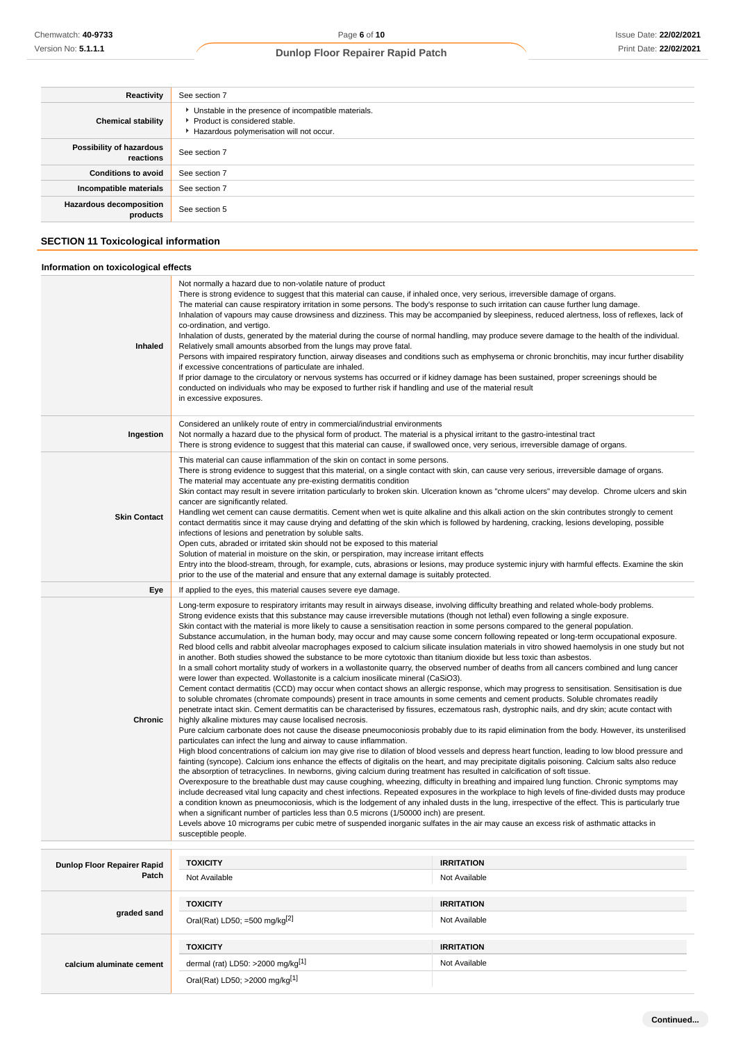| Reactivity                                 | See section 7                                                                                                                        |
|--------------------------------------------|--------------------------------------------------------------------------------------------------------------------------------------|
| <b>Chemical stability</b>                  | • Unstable in the presence of incompatible materials.<br>▶ Product is considered stable.<br>Hazardous polymerisation will not occur. |
| Possibility of hazardous<br>reactions      | See section 7                                                                                                                        |
| <b>Conditions to avoid</b>                 | See section 7                                                                                                                        |
| Incompatible materials                     | See section 7                                                                                                                        |
| <b>Hazardous decomposition</b><br>products | See section 5                                                                                                                        |

# **SECTION 11 Toxicological information**

# **Information on toxicological effects**

| <b>Inhaled</b>                     | Not normally a hazard due to non-volatile nature of product<br>There is strong evidence to suggest that this material can cause, if inhaled once, very serious, irreversible damage of organs.<br>The material can cause respiratory irritation in some persons. The body's response to such irritation can cause further lung damage.<br>Inhalation of vapours may cause drowsiness and dizziness. This may be accompanied by sleepiness, reduced alertness, loss of reflexes, lack of<br>co-ordination, and vertigo.<br>Inhalation of dusts, generated by the material during the course of normal handling, may produce severe damage to the health of the individual.<br>Relatively small amounts absorbed from the lungs may prove fatal.<br>Persons with impaired respiratory function, airway diseases and conditions such as emphysema or chronic bronchitis, may incur further disability<br>if excessive concentrations of particulate are inhaled.<br>If prior damage to the circulatory or nervous systems has occurred or if kidney damage has been sustained, proper screenings should be<br>conducted on individuals who may be exposed to further risk if handling and use of the material result<br>in excessive exposures.                                                                                                                                                                                                                                                                                                                                                                                                                                                                                                                                                                                                                                                                                                                                                                                                                                                                                                                                                                                                                                                                                                                                                                                                                                                                                                                                                                                                                                                                                                                                                                                                                                                                                                                                    |                                    |  |
|------------------------------------|---------------------------------------------------------------------------------------------------------------------------------------------------------------------------------------------------------------------------------------------------------------------------------------------------------------------------------------------------------------------------------------------------------------------------------------------------------------------------------------------------------------------------------------------------------------------------------------------------------------------------------------------------------------------------------------------------------------------------------------------------------------------------------------------------------------------------------------------------------------------------------------------------------------------------------------------------------------------------------------------------------------------------------------------------------------------------------------------------------------------------------------------------------------------------------------------------------------------------------------------------------------------------------------------------------------------------------------------------------------------------------------------------------------------------------------------------------------------------------------------------------------------------------------------------------------------------------------------------------------------------------------------------------------------------------------------------------------------------------------------------------------------------------------------------------------------------------------------------------------------------------------------------------------------------------------------------------------------------------------------------------------------------------------------------------------------------------------------------------------------------------------------------------------------------------------------------------------------------------------------------------------------------------------------------------------------------------------------------------------------------------------------------------------------------------------------------------------------------------------------------------------------------------------------------------------------------------------------------------------------------------------------------------------------------------------------------------------------------------------------------------------------------------------------------------------------------------------------------------------------------------------------------------------------------------------------------------------------------------|------------------------------------|--|
| Ingestion                          | Considered an unlikely route of entry in commercial/industrial environments<br>Not normally a hazard due to the physical form of product. The material is a physical irritant to the gastro-intestinal tract<br>There is strong evidence to suggest that this material can cause, if swallowed once, very serious, irreversible damage of organs.                                                                                                                                                                                                                                                                                                                                                                                                                                                                                                                                                                                                                                                                                                                                                                                                                                                                                                                                                                                                                                                                                                                                                                                                                                                                                                                                                                                                                                                                                                                                                                                                                                                                                                                                                                                                                                                                                                                                                                                                                                                                                                                                                                                                                                                                                                                                                                                                                                                                                                                                                                                                                               |                                    |  |
| <b>Skin Contact</b>                | This material can cause inflammation of the skin on contact in some persons.<br>There is strong evidence to suggest that this material, on a single contact with skin, can cause very serious, irreversible damage of organs.<br>The material may accentuate any pre-existing dermatitis condition<br>Skin contact may result in severe irritation particularly to broken skin. Ulceration known as "chrome ulcers" may develop. Chrome ulcers and skin<br>cancer are significantly related.<br>Handling wet cement can cause dermatitis. Cement when wet is quite alkaline and this alkali action on the skin contributes strongly to cement<br>contact dermatitis since it may cause drying and defatting of the skin which is followed by hardening, cracking, lesions developing, possible<br>infections of lesions and penetration by soluble salts.<br>Open cuts, abraded or irritated skin should not be exposed to this material<br>Solution of material in moisture on the skin, or perspiration, may increase irritant effects<br>Entry into the blood-stream, through, for example, cuts, abrasions or lesions, may produce systemic injury with harmful effects. Examine the skin<br>prior to the use of the material and ensure that any external damage is suitably protected.                                                                                                                                                                                                                                                                                                                                                                                                                                                                                                                                                                                                                                                                                                                                                                                                                                                                                                                                                                                                                                                                                                                                                                                                                                                                                                                                                                                                                                                                                                                                                                                                                                                                                    |                                    |  |
| Eye                                | If applied to the eyes, this material causes severe eye damage.                                                                                                                                                                                                                                                                                                                                                                                                                                                                                                                                                                                                                                                                                                                                                                                                                                                                                                                                                                                                                                                                                                                                                                                                                                                                                                                                                                                                                                                                                                                                                                                                                                                                                                                                                                                                                                                                                                                                                                                                                                                                                                                                                                                                                                                                                                                                                                                                                                                                                                                                                                                                                                                                                                                                                                                                                                                                                                                 |                                    |  |
| Chronic                            | Long-term exposure to respiratory irritants may result in airways disease, involving difficulty breathing and related whole-body problems.<br>Strong evidence exists that this substance may cause irreversible mutations (though not lethal) even following a single exposure.<br>Skin contact with the material is more likely to cause a sensitisation reaction in some persons compared to the general population.<br>Substance accumulation, in the human body, may occur and may cause some concern following repeated or long-term occupational exposure.<br>Red blood cells and rabbit alveolar macrophages exposed to calcium silicate insulation materials in vitro showed haemolysis in one study but not<br>in another. Both studies showed the substance to be more cytotoxic than titanium dioxide but less toxic than asbestos.<br>In a small cohort mortality study of workers in a wollastonite quarry, the observed number of deaths from all cancers combined and lung cancer<br>were lower than expected. Wollastonite is a calcium inosilicate mineral (CaSiO3).<br>Cement contact dermatitis (CCD) may occur when contact shows an allergic response, which may progress to sensitisation. Sensitisation is due<br>to soluble chromates (chromate compounds) present in trace amounts in some cements and cement products. Soluble chromates readily<br>penetrate intact skin. Cement dermatitis can be characterised by fissures, eczematous rash, dystrophic nails, and dry skin; acute contact with<br>highly alkaline mixtures may cause localised necrosis.<br>Pure calcium carbonate does not cause the disease pneumoconiosis probably due to its rapid elimination from the body. However, its unsterilised<br>particulates can infect the lung and airway to cause inflammation.<br>High blood concentrations of calcium ion may give rise to dilation of blood vessels and depress heart function, leading to low blood pressure and<br>fainting (syncope). Calcium ions enhance the effects of digitalis on the heart, and may precipitate digitalis poisoning. Calcium salts also reduce<br>the absorption of tetracyclines. In newborns, giving calcium during treatment has resulted in calcification of soft tissue.<br>Overexposure to the breathable dust may cause coughing, wheezing, difficulty in breathing and impaired lung function. Chronic symptoms may<br>include decreased vital lung capacity and chest infections. Repeated exposures in the workplace to high levels of fine-divided dusts may produce<br>a condition known as pneumoconiosis, which is the lodgement of any inhaled dusts in the lung, irrespective of the effect. This is particularly true<br>when a significant number of particles less than 0.5 microns (1/50000 inch) are present.<br>Levels above 10 micrograms per cubic metre of suspended inorganic sulfates in the air may cause an excess risk of asthmatic attacks in<br>susceptible people. |                                    |  |
| <b>Dunlop Floor Repairer Rapid</b> | <b>TOXICITY</b>                                                                                                                                                                                                                                                                                                                                                                                                                                                                                                                                                                                                                                                                                                                                                                                                                                                                                                                                                                                                                                                                                                                                                                                                                                                                                                                                                                                                                                                                                                                                                                                                                                                                                                                                                                                                                                                                                                                                                                                                                                                                                                                                                                                                                                                                                                                                                                                                                                                                                                                                                                                                                                                                                                                                                                                                                                                                                                                                                                 | <b>IRRITATION</b>                  |  |
| Patch                              | Not Available                                                                                                                                                                                                                                                                                                                                                                                                                                                                                                                                                                                                                                                                                                                                                                                                                                                                                                                                                                                                                                                                                                                                                                                                                                                                                                                                                                                                                                                                                                                                                                                                                                                                                                                                                                                                                                                                                                                                                                                                                                                                                                                                                                                                                                                                                                                                                                                                                                                                                                                                                                                                                                                                                                                                                                                                                                                                                                                                                                   | Not Available                      |  |
| graded sand                        | <b>TOXICITY</b><br>Oral(Rat) LD50; =500 mg/kg $^{[2]}$                                                                                                                                                                                                                                                                                                                                                                                                                                                                                                                                                                                                                                                                                                                                                                                                                                                                                                                                                                                                                                                                                                                                                                                                                                                                                                                                                                                                                                                                                                                                                                                                                                                                                                                                                                                                                                                                                                                                                                                                                                                                                                                                                                                                                                                                                                                                                                                                                                                                                                                                                                                                                                                                                                                                                                                                                                                                                                                          | <b>IRRITATION</b><br>Not Available |  |
|                                    | <b>TOXICITY</b>                                                                                                                                                                                                                                                                                                                                                                                                                                                                                                                                                                                                                                                                                                                                                                                                                                                                                                                                                                                                                                                                                                                                                                                                                                                                                                                                                                                                                                                                                                                                                                                                                                                                                                                                                                                                                                                                                                                                                                                                                                                                                                                                                                                                                                                                                                                                                                                                                                                                                                                                                                                                                                                                                                                                                                                                                                                                                                                                                                 | <b>IRRITATION</b>                  |  |
| calcium aluminate cement           | dermal (rat) LD50: >2000 mg/kg <sup>[1]</sup>                                                                                                                                                                                                                                                                                                                                                                                                                                                                                                                                                                                                                                                                                                                                                                                                                                                                                                                                                                                                                                                                                                                                                                                                                                                                                                                                                                                                                                                                                                                                                                                                                                                                                                                                                                                                                                                                                                                                                                                                                                                                                                                                                                                                                                                                                                                                                                                                                                                                                                                                                                                                                                                                                                                                                                                                                                                                                                                                   | Not Available                      |  |
|                                    | Oral(Rat) LD50; >2000 mg/kg[1]                                                                                                                                                                                                                                                                                                                                                                                                                                                                                                                                                                                                                                                                                                                                                                                                                                                                                                                                                                                                                                                                                                                                                                                                                                                                                                                                                                                                                                                                                                                                                                                                                                                                                                                                                                                                                                                                                                                                                                                                                                                                                                                                                                                                                                                                                                                                                                                                                                                                                                                                                                                                                                                                                                                                                                                                                                                                                                                                                  |                                    |  |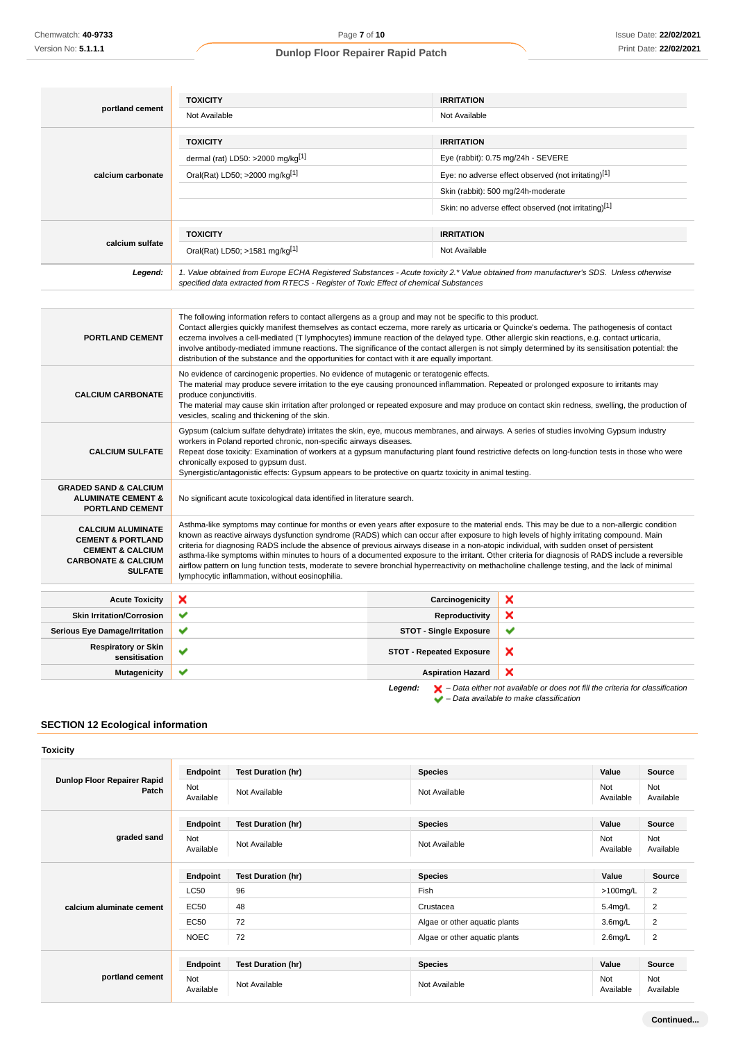|                   | <b>TOXICITY</b>                                                                       | <b>IRRITATION</b>                                                                                                                      |
|-------------------|---------------------------------------------------------------------------------------|----------------------------------------------------------------------------------------------------------------------------------------|
| portland cement   | Not Available                                                                         | Not Available                                                                                                                          |
|                   | <b>TOXICITY</b>                                                                       | <b>IRRITATION</b>                                                                                                                      |
|                   | dermal (rat) LD50: >2000 mg/kg $[1]$                                                  | Eye (rabbit): 0.75 mg/24h - SEVERE                                                                                                     |
| calcium carbonate | Oral(Rat) LD50; >2000 mg/kg[1]                                                        | Eye: no adverse effect observed (not irritating)[1]                                                                                    |
|                   |                                                                                       | Skin (rabbit): 500 mg/24h-moderate                                                                                                     |
|                   |                                                                                       | Skin: no adverse effect observed (not irritating)[1]                                                                                   |
| calcium sulfate   | <b>TOXICITY</b>                                                                       | <b>IRRITATION</b>                                                                                                                      |
|                   | Oral(Rat) LD50; >1581 mg/kg[1]                                                        | Not Available                                                                                                                          |
| Legend:           | specified data extracted from RTECS - Register of Toxic Effect of chemical Substances | 1. Value obtained from Europe ECHA Registered Substances - Acute toxicity 2.* Value obtained from manufacturer's SDS. Unless otherwise |

| <b>PORTLAND CEMENT</b>                                                                                                                      | The following information refers to contact allergens as a group and may not be specific to this product.<br>Contact allergies quickly manifest themselves as contact eczema, more rarely as urticaria or Quincke's oedema. The pathogenesis of contact<br>eczema involves a cell-mediated (T lymphocytes) immune reaction of the delayed type. Other allergic skin reactions, e.g. contact urticaria,<br>involve antibody-mediated immune reactions. The significance of the contact allergen is not simply determined by its sensitisation potential: the<br>distribution of the substance and the opportunities for contact with it are equally important.                                                                                                                                |                                 |   |
|---------------------------------------------------------------------------------------------------------------------------------------------|----------------------------------------------------------------------------------------------------------------------------------------------------------------------------------------------------------------------------------------------------------------------------------------------------------------------------------------------------------------------------------------------------------------------------------------------------------------------------------------------------------------------------------------------------------------------------------------------------------------------------------------------------------------------------------------------------------------------------------------------------------------------------------------------|---------------------------------|---|
| <b>CALCIUM CARBONATE</b>                                                                                                                    | No evidence of carcinogenic properties. No evidence of mutagenic or teratogenic effects.<br>The material may produce severe irritation to the eye causing pronounced inflammation. Repeated or prolonged exposure to irritants may<br>produce conjunctivitis.<br>The material may cause skin irritation after prolonged or repeated exposure and may produce on contact skin redness, swelling, the production of<br>vesicles, scaling and thickening of the skin.                                                                                                                                                                                                                                                                                                                           |                                 |   |
| <b>CALCIUM SULFATE</b>                                                                                                                      | Gypsum (calcium sulfate dehydrate) irritates the skin, eye, mucous membranes, and airways. A series of studies involving Gypsum industry<br>workers in Poland reported chronic, non-specific airways diseases.<br>Repeat dose toxicity: Examination of workers at a gypsum manufacturing plant found restrictive defects on long-function tests in those who were<br>chronically exposed to gypsum dust.<br>Synergistic/antagonistic effects: Gypsum appears to be protective on quartz toxicity in animal testing.                                                                                                                                                                                                                                                                          |                                 |   |
| <b>GRADED SAND &amp; CALCIUM</b><br><b>ALUMINATE CEMENT &amp;</b><br><b>PORTLAND CEMENT</b>                                                 | No significant acute toxicological data identified in literature search.                                                                                                                                                                                                                                                                                                                                                                                                                                                                                                                                                                                                                                                                                                                     |                                 |   |
| <b>CALCIUM ALUMINATE</b><br><b>CEMENT &amp; PORTLAND</b><br><b>CEMENT &amp; CALCIUM</b><br><b>CARBONATE &amp; CALCIUM</b><br><b>SULFATE</b> | Asthma-like symptoms may continue for months or even years after exposure to the material ends. This may be due to a non-allergic condition<br>known as reactive airways dysfunction syndrome (RADS) which can occur after exposure to high levels of highly irritating compound. Main<br>criteria for diagnosing RADS include the absence of previous airways disease in a non-atopic individual, with sudden onset of persistent<br>asthma-like symptoms within minutes to hours of a documented exposure to the irritant. Other criteria for diagnosis of RADS include a reversible<br>airflow pattern on lung function tests, moderate to severe bronchial hyperreactivity on methacholine challenge testing, and the lack of minimal<br>lymphocytic inflammation, without eosinophilia. |                                 |   |
| <b>Acute Toxicity</b>                                                                                                                       | ×                                                                                                                                                                                                                                                                                                                                                                                                                                                                                                                                                                                                                                                                                                                                                                                            | Carcinogenicity                 | × |
| <b>Skin Irritation/Corrosion</b>                                                                                                            | ✔                                                                                                                                                                                                                                                                                                                                                                                                                                                                                                                                                                                                                                                                                                                                                                                            | Reproductivity                  | × |
| <b>Serious Eye Damage/Irritation</b>                                                                                                        | ✔                                                                                                                                                                                                                                                                                                                                                                                                                                                                                                                                                                                                                                                                                                                                                                                            | <b>STOT - Single Exposure</b>   | ✔ |
| <b>Respiratory or Skin</b><br>sensitisation                                                                                                 | v                                                                                                                                                                                                                                                                                                                                                                                                                                                                                                                                                                                                                                                                                                                                                                                            | <b>STOT - Repeated Exposure</b> | × |
| <b>Mutagenicity</b>                                                                                                                         | ✔                                                                                                                                                                                                                                                                                                                                                                                                                                                                                                                                                                                                                                                                                                                                                                                            | <b>Aspiration Hazard</b>        | × |

Legend:  $\mathsf{X}$  – Data either not available or does not fill the criteria for classification – Data available to make classification

# **SECTION 12 Ecological information**

| <b>Toxicity</b>                      |                  |                           |                               |                  |                  |
|--------------------------------------|------------------|---------------------------|-------------------------------|------------------|------------------|
| Dunlop Floor Repairer Rapid<br>Patch | Endpoint         | <b>Test Duration (hr)</b> | <b>Species</b>                | Value            | Source           |
|                                      | Not<br>Available | Not Available             | Not Available                 | Not<br>Available | Not<br>Available |
|                                      | Endpoint         | <b>Test Duration (hr)</b> | <b>Species</b>                | Value            | Source           |
| graded sand                          | Not<br>Available | Not Available             | Not Available                 | Not<br>Available | Not<br>Available |
| calcium aluminate cement             | Endpoint         | <b>Test Duration (hr)</b> | <b>Species</b>                | Value            | Source           |
|                                      | <b>LC50</b>      | 96                        | Fish                          | $>100$ mg/L      | $\overline{2}$   |
|                                      | <b>EC50</b>      | 48                        | Crustacea                     | $5.4$ mg/L       | $\overline{2}$   |
|                                      | <b>EC50</b>      | 72                        | Algae or other aquatic plants | $3.6$ mg/L       | 2                |
|                                      | <b>NOEC</b>      | 72                        | Algae or other aquatic plants | $2.6$ mg/L       | $\overline{2}$   |
|                                      |                  |                           |                               |                  |                  |
|                                      | Endpoint         | <b>Test Duration (hr)</b> | <b>Species</b>                | Value            | <b>Source</b>    |
| portland cement                      | Not<br>Available | Not Available             | Not Available                 | Not<br>Available | Not<br>Available |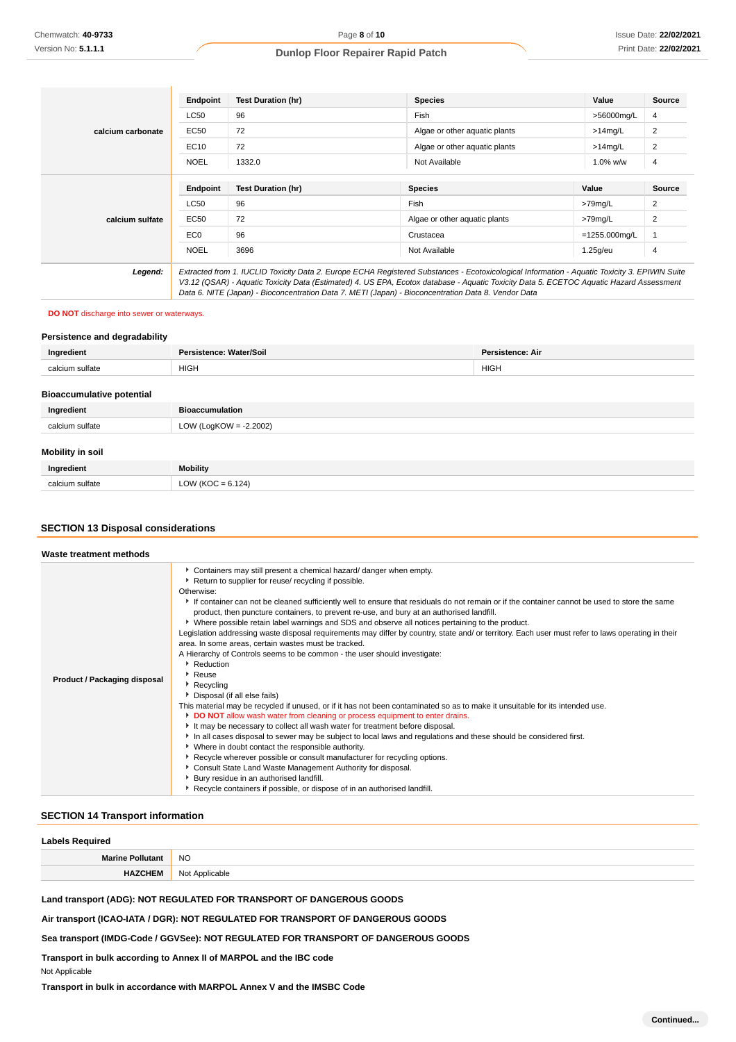|                   | <b>Endpoint</b> | <b>Test Duration (hr)</b>                                                                                                                                                                                                                                                                                                                                                                       | <b>Species</b>                | Value            | Source |
|-------------------|-----------------|-------------------------------------------------------------------------------------------------------------------------------------------------------------------------------------------------------------------------------------------------------------------------------------------------------------------------------------------------------------------------------------------------|-------------------------------|------------------|--------|
|                   | LC50            | 96                                                                                                                                                                                                                                                                                                                                                                                              | Fish                          | >56000mg/L       | 4      |
| calcium carbonate | EC50            | 72                                                                                                                                                                                                                                                                                                                                                                                              | Algae or other aquatic plants | $>14$ mg/L       | 2      |
|                   | EC10            | 72                                                                                                                                                                                                                                                                                                                                                                                              | Algae or other aquatic plants | $>14$ mg/L       | 2      |
|                   | <b>NOEL</b>     | 1332.0                                                                                                                                                                                                                                                                                                                                                                                          | Not Available                 | $1.0\%$ w/w      | 4      |
|                   |                 |                                                                                                                                                                                                                                                                                                                                                                                                 |                               |                  |        |
|                   | <b>Endpoint</b> | <b>Test Duration (hr)</b>                                                                                                                                                                                                                                                                                                                                                                       | <b>Species</b>                | Value            | Source |
|                   | <b>LC50</b>     | 96                                                                                                                                                                                                                                                                                                                                                                                              | Fish                          | >79mg/L          | 2      |
| calcium sulfate   | EC50            | 72                                                                                                                                                                                                                                                                                                                                                                                              | Algae or other aguatic plants | $>79$ mg/L       | 2      |
|                   | EC <sub>0</sub> | 96                                                                                                                                                                                                                                                                                                                                                                                              | Crustacea                     | $=1255.000$ mg/L |        |
|                   | <b>NOEL</b>     | 3696                                                                                                                                                                                                                                                                                                                                                                                            | Not Available                 | $1.25$ g/eu      | 4      |
| Legend:           |                 | Extracted from 1. IUCLID Toxicity Data 2. Europe ECHA Registered Substances - Ecotoxicological Information - Aquatic Toxicity 3. EPIWIN Suite<br>V3.12 (QSAR) - Aquatic Toxicity Data (Estimated) 4. US EPA, Ecotox database - Aquatic Toxicity Data 5. ECETOC Aquatic Hazard Assessment<br>Data 6. NITE (Japan) - Bioconcentration Data 7. METI (Japan) - Bioconcentration Data 8. Vendor Data |                               |                  |        |

#### **DO NOT** discharge into sewer or waterways.

#### **Persistence and degradability**

| Ingredient         | sistence: Water/Soilː<br>Darı | <b>Persistence: Air</b> |
|--------------------|-------------------------------|-------------------------|
| um sulfate<br>calc | <b>HIGH</b>                   | <b>HIGH</b>             |
|                    |                               |                         |

# **Bioaccumulative potential**

| Ingredient              | <b>Bioaccumulation</b> |
|-------------------------|------------------------|
| calcium sulfate         | LOW (LogKOW = -2.2002) |
| <b>Mobility in soil</b> |                        |
| Ingredient              | <b>Mobility</b>        |

calcium sulfate  $\vert$  LOW (KOC = 6.124)

# **SECTION 13 Disposal considerations**

| Waste treatment methods             |                                                                                                                                                                                                                                                                                                                                                                                                                                                                                                                                                                                                                                                                                                                                                                                                                                                                                                                                                                                                                                                                                                                                                                                                                                                                                                                                                                                                                                                                                                                                                                                                               |
|-------------------------------------|---------------------------------------------------------------------------------------------------------------------------------------------------------------------------------------------------------------------------------------------------------------------------------------------------------------------------------------------------------------------------------------------------------------------------------------------------------------------------------------------------------------------------------------------------------------------------------------------------------------------------------------------------------------------------------------------------------------------------------------------------------------------------------------------------------------------------------------------------------------------------------------------------------------------------------------------------------------------------------------------------------------------------------------------------------------------------------------------------------------------------------------------------------------------------------------------------------------------------------------------------------------------------------------------------------------------------------------------------------------------------------------------------------------------------------------------------------------------------------------------------------------------------------------------------------------------------------------------------------------|
| <b>Product / Packaging disposal</b> | • Containers may still present a chemical hazard/ danger when empty.<br>Return to supplier for reuse/ recycling if possible.<br>Otherwise:<br>If container can not be cleaned sufficiently well to ensure that residuals do not remain or if the container cannot be used to store the same<br>product, then puncture containers, to prevent re-use, and bury at an authorised landfill.<br>▶ Where possible retain label warnings and SDS and observe all notices pertaining to the product.<br>Legislation addressing waste disposal requirements may differ by country, state and/ or territory. Each user must refer to laws operating in their<br>area. In some areas, certain wastes must be tracked.<br>A Hierarchy of Controls seems to be common - the user should investigate:<br>Reduction<br>▸ Reuse<br>▶ Recycling<br>Disposal (if all else fails)<br>This material may be recycled if unused, or if it has not been contaminated so as to make it unsuitable for its intended use.<br>DO NOT allow wash water from cleaning or process equipment to enter drains.<br>It may be necessary to collect all wash water for treatment before disposal.<br>In all cases disposal to sewer may be subject to local laws and regulations and these should be considered first.<br>• Where in doubt contact the responsible authority.<br>Recycle wherever possible or consult manufacturer for recycling options.<br>Consult State Land Waste Management Authority for disposal.<br>Bury residue in an authorised landfill.<br>Recycle containers if possible, or dispose of in an authorised landfill. |

#### **SECTION 14 Transport information**

#### **Labels Required**

| --------------      |                    |  |
|---------------------|--------------------|--|
| <b>Marine Pollu</b> | <b>NO</b>          |  |
|                     | No<br>: Applicable |  |

**Land transport (ADG): NOT REGULATED FOR TRANSPORT OF DANGEROUS GOODS**

**Air transport (ICAO-IATA / DGR): NOT REGULATED FOR TRANSPORT OF DANGEROUS GOODS**

**Sea transport (IMDG-Code / GGVSee): NOT REGULATED FOR TRANSPORT OF DANGEROUS GOODS**

**Transport in bulk according to Annex II of MARPOL and the IBC code**

Not Applicable

**Transport in bulk in accordance with MARPOL Annex V and the IMSBC Code**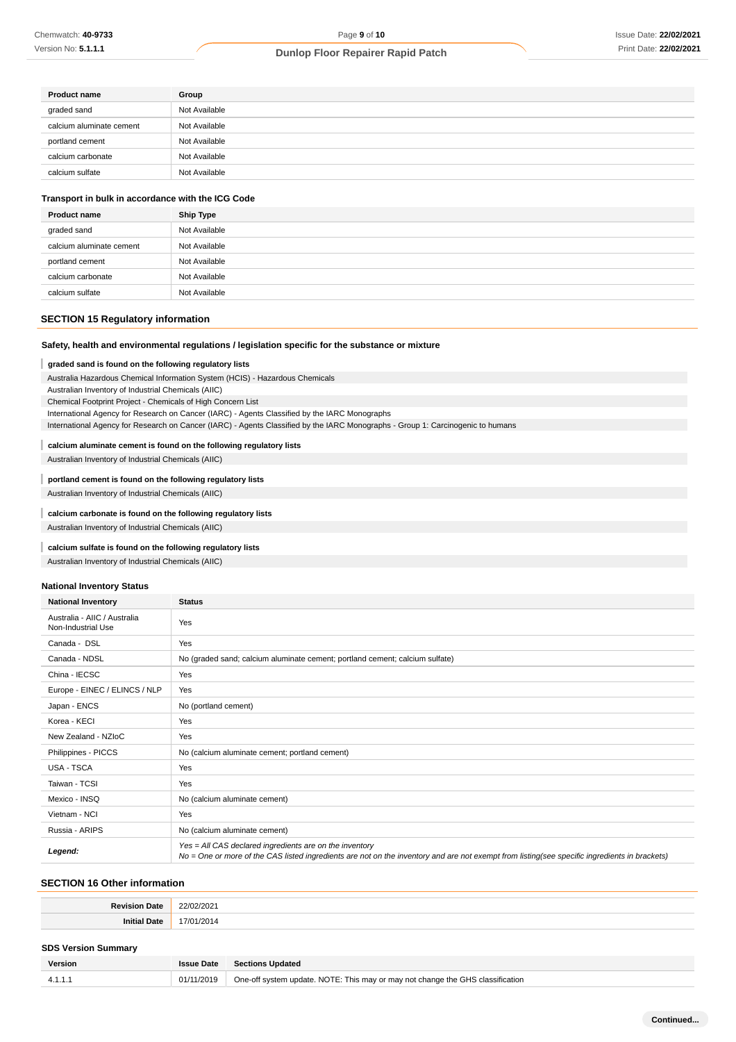| <b>Product name</b>      | Group         |
|--------------------------|---------------|
| graded sand              | Not Available |
| calcium aluminate cement | Not Available |
| portland cement          | Not Available |
| calcium carbonate        | Not Available |
| calcium sulfate          | Not Available |

# **Transport in bulk in accordance with the ICG Code**

| <b>Product name</b>      | <b>Ship Type</b> |
|--------------------------|------------------|
| graded sand              | Not Available    |
| calcium aluminate cement | Not Available    |
| portland cement          | Not Available    |
| calcium carbonate        | Not Available    |
| calcium sulfate          | Not Available    |

# **SECTION 15 Regulatory information**

# **Safety, health and environmental regulations / legislation specific for the substance or mixture**

#### ı **graded sand is found on the following regulatory lists**

Australia Hazardous Chemical Information System (HCIS) - Hazardous Chemicals

Australian Inventory of Industrial Chemicals (AIIC)

Chemical Footprint Project - Chemicals of High Concern List

International Agency for Research on Cancer (IARC) - Agents Classified by the IARC Monographs

International Agency for Research on Cancer (IARC) - Agents Classified by the IARC Monographs - Group 1: Carcinogenic to humans

#### **calcium aluminate cement is found on the following regulatory lists** T

Australian Inventory of Industrial Chemicals (AIIC)

**portland cement is found on the following regulatory lists** Australian Inventory of Industrial Chemicals (AIIC)

#### **calcium carbonate is found on the following regulatory lists**

Australian Inventory of Industrial Chemicals (AIIC)

# **calcium sulfate is found on the following regulatory lists**

Australian Inventory of Industrial Chemicals (AIIC)

#### **National Inventory Status**

| <b>National Inventory</b>                          | <b>Status</b>                                                                                                                                                                                            |
|----------------------------------------------------|----------------------------------------------------------------------------------------------------------------------------------------------------------------------------------------------------------|
| Australia - AIIC / Australia<br>Non-Industrial Use | Yes                                                                                                                                                                                                      |
| Canada - DSL                                       | Yes                                                                                                                                                                                                      |
| Canada - NDSL                                      | No (graded sand; calcium aluminate cement; portland cement; calcium sulfate)                                                                                                                             |
| China - IECSC                                      | Yes                                                                                                                                                                                                      |
| Europe - EINEC / ELINCS / NLP                      | Yes                                                                                                                                                                                                      |
| Japan - ENCS                                       | No (portland cement)                                                                                                                                                                                     |
| Korea - KECI                                       | Yes                                                                                                                                                                                                      |
| New Zealand - NZIoC                                | Yes                                                                                                                                                                                                      |
| Philippines - PICCS                                | No (calcium aluminate cement; portland cement)                                                                                                                                                           |
| USA - TSCA                                         | Yes                                                                                                                                                                                                      |
| Taiwan - TCSI                                      | Yes                                                                                                                                                                                                      |
| Mexico - INSQ                                      | No (calcium aluminate cement)                                                                                                                                                                            |
| Vietnam - NCI                                      | Yes                                                                                                                                                                                                      |
| Russia - ARIPS                                     | No (calcium aluminate cement)                                                                                                                                                                            |
| Legend:                                            | Yes = All CAS declared ingredients are on the inventory<br>No = One or more of the CAS listed ingredients are not on the inventory and are not exempt from listing(see specific ingredients in brackets) |

# **SECTION 16 Other information**

| <b>Revision</b> | 22/11           |
|-----------------|-----------------|
| Date            | /202            |
| .               | .               |
| $-$             | - 201<br>.<br>. |

#### **SDS Version Summary**

| Version | <b>Issue Date</b> | <b>Sections Updated</b>                                                        |
|---------|-------------------|--------------------------------------------------------------------------------|
| 4.1.1.1 | 01/11/2019        | One-off system update. NOTE: This may or may not change the GHS classification |